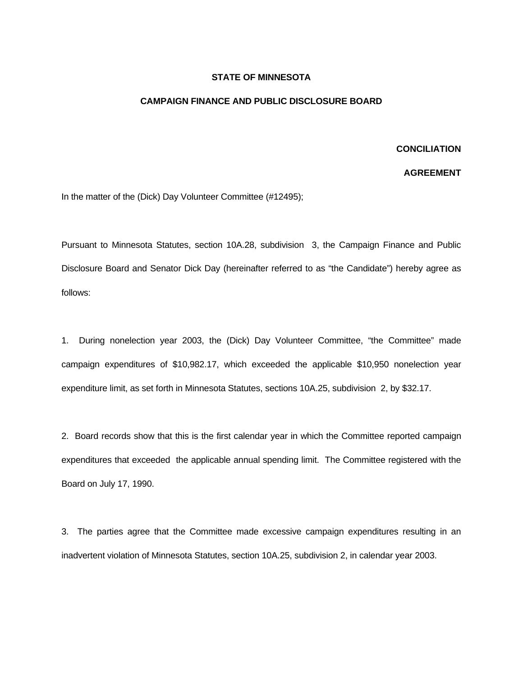## **STATE OF MINNESOTA**

## **CAMPAIGN FINANCE AND PUBLIC DISCLOSURE BOARD**

## **CONCILIATION**

## **AGREEMENT**

In the matter of the (Dick) Day Volunteer Committee (#12495);

Pursuant to Minnesota Statutes, section 10A.28, subdivision 3, the Campaign Finance and Public Disclosure Board and Senator Dick Day (hereinafter referred to as "the Candidate") hereby agree as follows:

1. During nonelection year 2003, the (Dick) Day Volunteer Committee, "the Committee" made campaign expenditures of \$10,982.17, which exceeded the applicable \$10,950 nonelection year expenditure limit, as set forth in Minnesota Statutes, sections 10A.25, subdivision 2, by \$32.17.

2. Board records show that this is the first calendar year in which the Committee reported campaign expenditures that exceeded the applicable annual spending limit. The Committee registered with the Board on July 17, 1990.

3. The parties agree that the Committee made excessive campaign expenditures resulting in an inadvertent violation of Minnesota Statutes, section 10A.25, subdivision 2, in calendar year 2003.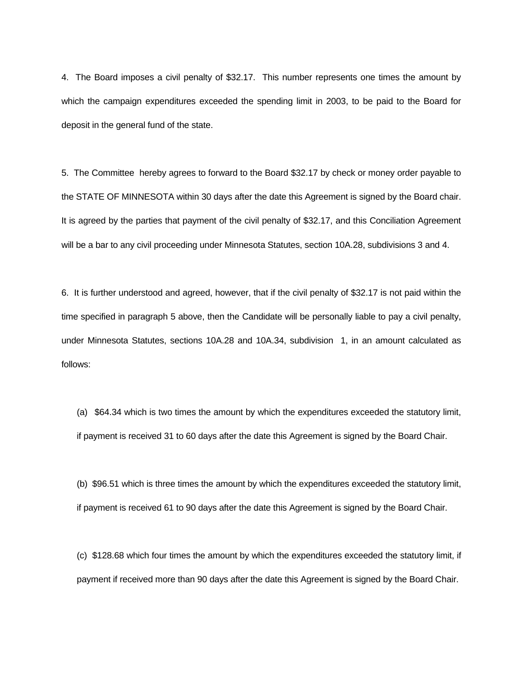4. The Board imposes a civil penalty of \$32.17. This number represents one times the amount by which the campaign expenditures exceeded the spending limit in 2003, to be paid to the Board for deposit in the general fund of the state.

5. The Committee hereby agrees to forward to the Board \$32.17 by check or money order payable to the STATE OF MINNESOTA within 30 days after the date this Agreement is signed by the Board chair. It is agreed by the parties that payment of the civil penalty of \$32.17, and this Conciliation Agreement will be a bar to any civil proceeding under Minnesota Statutes, section 10A.28, subdivisions 3 and 4.

6. It is further understood and agreed, however, that if the civil penalty of \$32.17 is not paid within the time specified in paragraph 5 above, then the Candidate will be personally liable to pay a civil penalty, under Minnesota Statutes, sections 10A.28 and 10A.34, subdivision 1, in an amount calculated as follows:

(a) \$64.34 which is two times the amount by which the expenditures exceeded the statutory limit, if payment is received 31 to 60 days after the date this Agreement is signed by the Board Chair.

(b) \$96.51 which is three times the amount by which the expenditures exceeded the statutory limit, if payment is received 61 to 90 days after the date this Agreement is signed by the Board Chair.

(c) \$128.68 which four times the amount by which the expenditures exceeded the statutory limit, if payment if received more than 90 days after the date this Agreement is signed by the Board Chair.